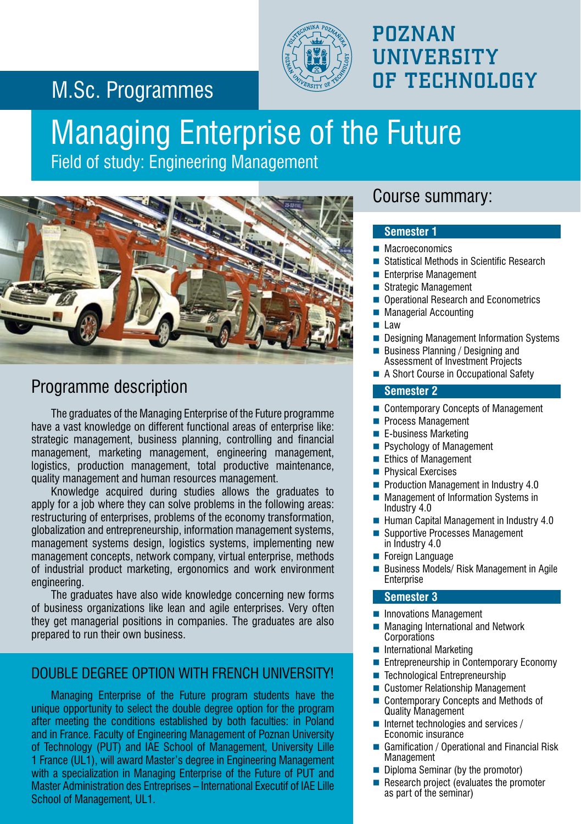## M.Sc. Programmes



## POZNAN **UNIVERSITY** OF TECHNOLOGY

## Managing Enterprise of the Future

Field of study: Engineering Management



#### Programme description

The graduates of the Managing Enterprise of the Future programme have a vast knowledge on different functional areas of enterprise like: strategic management, business planning, controlling and financial management, marketing management, engineering management, logistics, production management, total productive maintenance, quality management and human resources management.

Knowledge acquired during studies allows the graduates to apply for a job where they can solve problems in the following areas: restructuring of enterprises, problems of the economy transformation, globalization and entrepreneurship, information management systems, management systems design, logistics systems, implementing new management concepts, network company, virtual enterprise, methods of industrial product marketing, ergonomics and work environment engineering.

The graduates have also wide knowledge concerning new forms of business organizations like lean and agile enterprises. Very often they get managerial positions in companies. The graduates are also prepared to run their own business.

#### DOUBLE DEGREE OPTION WITH FRENCH UNIVERSITY!

Managing Enterprise of the Future program students have the unique opportunity to select the double degree option for the program after meeting the conditions established by both faculties: in Poland and in France. Faculty of Engineering Management of Poznan University of Technology (PUT) and IAE School of Management, University Lille 1 France (UL1), will award Master's degree in Engineering Management with a specialization in Managing Enterprise of the Future of PUT and Master Administration des Entreprises – International Executif of IAE Lille School of Management, UL1.

#### Course summary:

#### **Semester 1**

- **Macroeconomics**
- Statistical Methods in Scientific Research
- Enterprise Management
- Strategic Management
- Operational Research and Econometrics
- **Managerial Accounting**

#### $\blacksquare$  Law

- Designing Management Information Systems
- Business Planning / Designing and Assessment of Investment Projects
- A Short Course in Occupational Safety

#### **Semester 2**

- Contemporary Concepts of Management
- **Process Management**
- E-business Marketing
- **Psychology of Management**
- Ethics of Management
- **Physical Exercises**
- **Production Management in Industry 4.0**
- Management of Information Systems in Industry 4.0
- Human Capital Management in Industry 4.0
- Supportive Processes Management in Industry 4.0
- **Foreign Language**
- Business Models/ Risk Management in Agile **Enterprise**

#### **Semester 3**

- **Innovations Management**
- Managing International and Network Corporations
- **International Marketing**
- Entrepreneurship in Contemporary Economy
- Technological Entrepreneurship
- Customer Relationship Management
- Contemporary Concepts and Methods of Quality Management
- $\blacksquare$  Internet technologies and services / Economic insurance
- Gamification / Operational and Financial Risk **Management**
- Diploma Seminar (by the promotor)
- Research project (evaluates the promoter as part of the seminar)